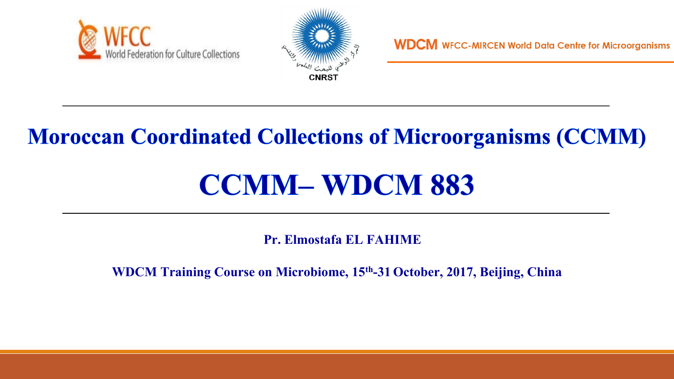



### **Moroccan Coordinated Collections of Microorganisms (CCMM)**

# **CCMM– WDCM 883**

**Pr. Elmostafa EL FAHIME**

**WDCM Training Course on Microbiome, 15th-31 October, 2017, Beijing, China**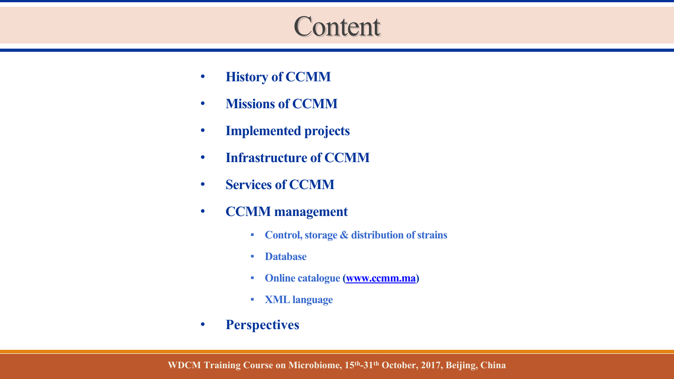## **Content**

- **History of CCMM**
- **Missions of CCMM**
- **Implemented projects**
- **Infrastructure of CCMM**
- **Services of CCMM**
- **CCMM management** 
	- **Control, storage & distribution of strains**
	- **Database**
	- **Online catalogue [\(www.ccmm.ma\)](http://www.ccmm.ma/)**
	- **XML language**
- **Perspectives**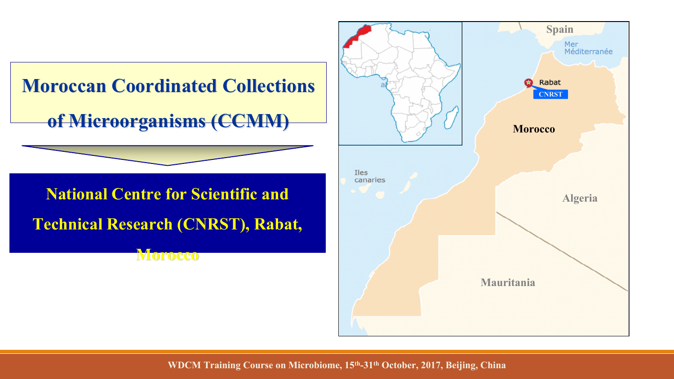

**WDCM Training Course on Microbiome, 15th-31th October, 2017, Beijing, China**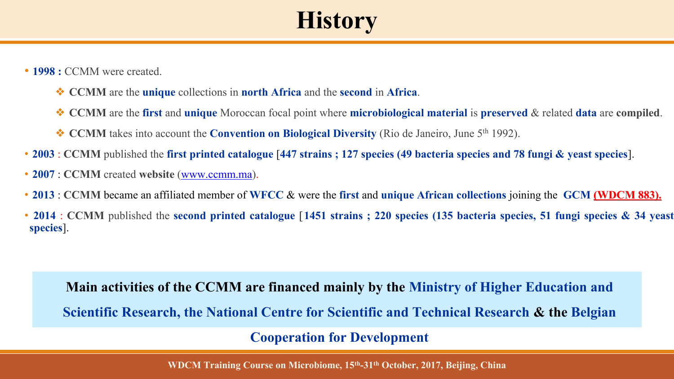# **History**

- **1998** : CCMM were created.
	- ❖ **CCMM** are the **unique** collections in **north Africa** and the **second** in **Africa**.
	- ❖ **CCMM** are the **first** and **unique** Moroccan focal point where **microbiological material** is **preserved** & related **data** are **compiled**.
	- ❖ **CCMM** takes into account the **Convention on Biological Diversity** (Rio de Janeiro, June 5th 1992).
- **2003** : **CCMM** published the **first printed catalogue** [**447 strains ; 127 species (49 bacteria species and 78 fungi & yeast species**].
- **2007** : **CCMM** created **website** ([www.ccmm.ma](http://www.ccmm.ma/)).
- **2013** : **CCMM** became an affiliated member of **WFCC** & were the **first** and **unique African collections** joining the **GCM (WDCM 883).**
- **2014** : **CCMM** published the **second printed catalogue** [**1451 strains ; 220 species (135 bacteria species, 51 fungi species & 34 yeast species**].

**Main activities of the CCMM are financed mainly by the Ministry of Higher Education and Scientific Research, the National Centre for Scientific and Technical Research & the Belgian** 

**Cooperation for Development** 

**WDCM Training Course on Microbiome, 15th-31th October, 2017, Beijing, China**